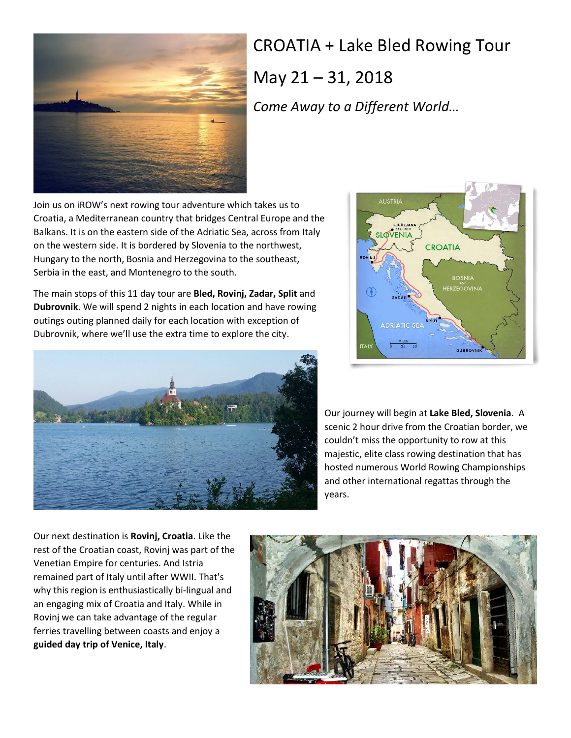

## CROATIA + Lake Bled Rowing Tour May 21 – 31, 2018 *Come Away to a Different World…*

Join us on iROW's next rowing tour adventure which takes us to Croatia, a Mediterranean country that bridges Central Europe and the Balkans. It is on the eastern side of the Adriatic Sea, across from Italy on the western side. It is bordered by Slovenia to the northwest, Hungary to the north, Bosnia and Herzegovina to the southeast, Serbia in the east, and Montenegro to the south.

The main stops of this 11 day tour are **Bled, Rovinj, Zadar, Split** and **Dubrovnik**. We will spend 2 nights in each location and have rowing outings outing planned daily for each location with exception of Dubrovnik, where we'll use the extra time to explore the city.





Our journey will begin at **Lake Bled, Slovenia**. A scenic 2 hour drive from the Croatian border, we couldn't miss the opportunity to row at this majestic, elite class rowing destination that has hosted numerous World Rowing Championships and other international regattas through the years.

Our next destination is **Rovinj, Croatia**. Like the rest of the Croatian coast, Rovinj was part of the Venetian Empire for centuries. And Istria remained part of Italy until after WWII. That's why this region is enthusiastically bi-lingual and an engaging mix of Croatia and Italy. While in Rovinj we can take advantage of the regular ferries travelling between coasts and enjoy a **guided day trip of Venice, Italy**.